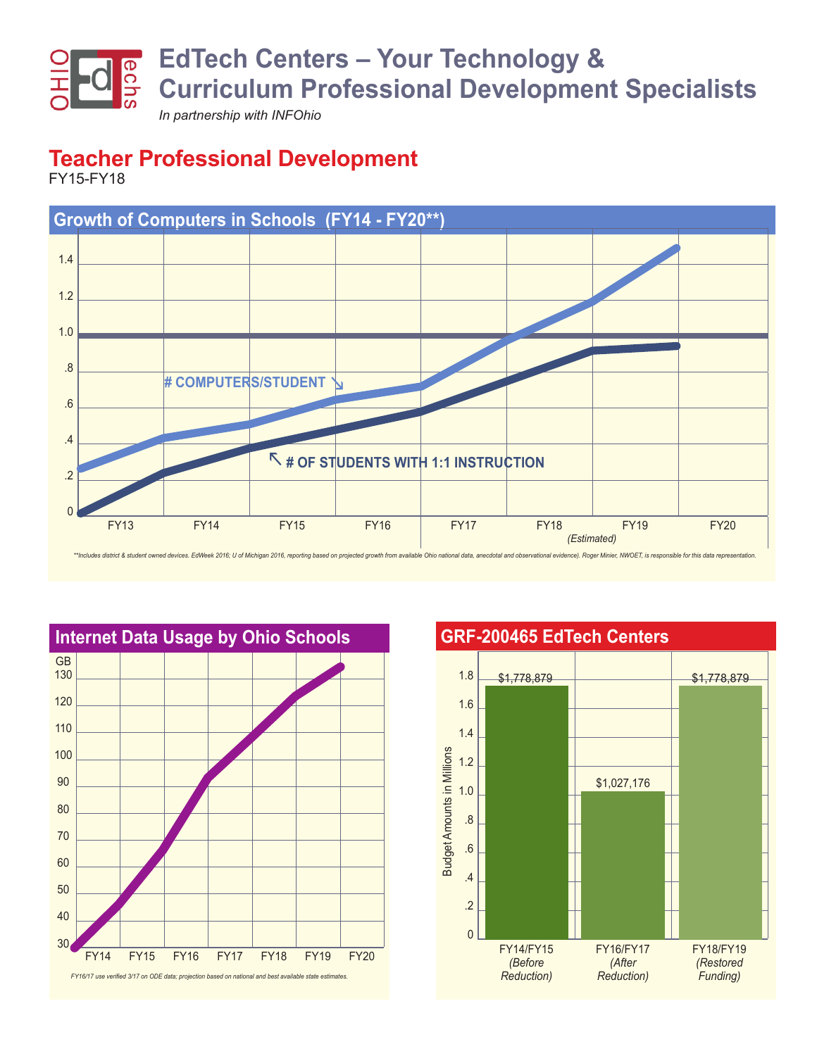

**Teacher Professional Development**

FY15-FY18





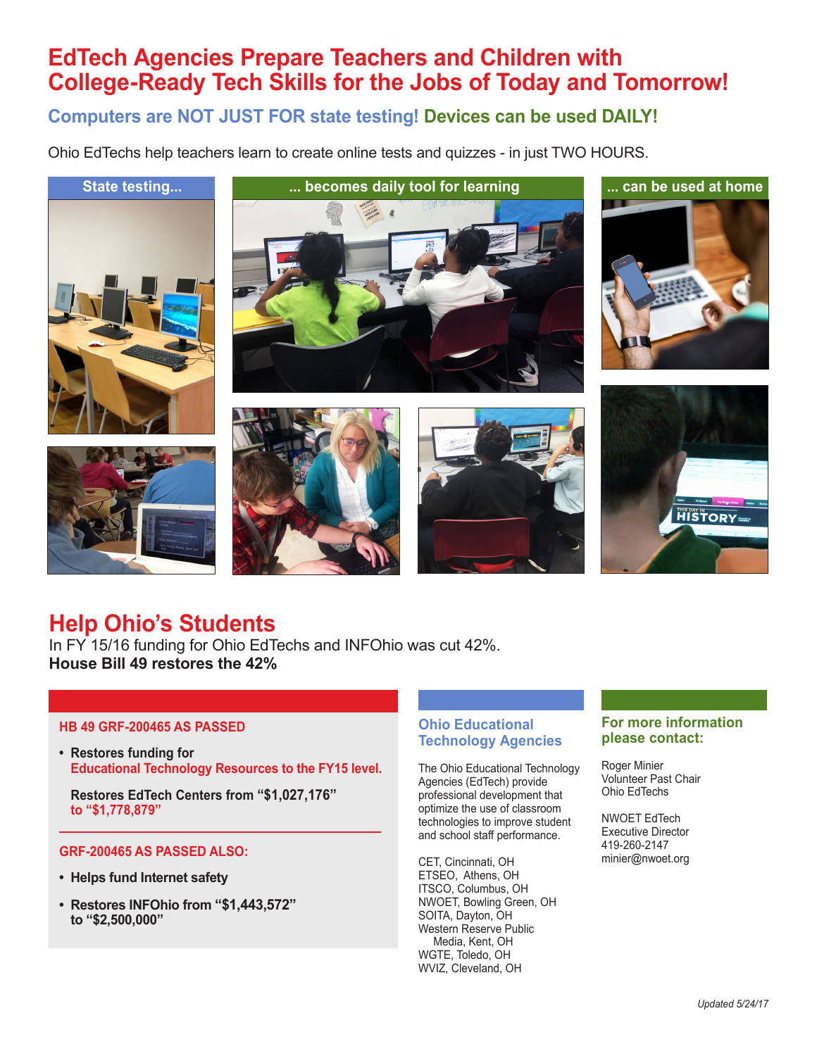# **EdTech Agencies Prepare Teachers and Children with College-Ready Tech Skills for the Jobs of Today and Tomorrow!**

**Computers are NOT JUST FOR state testing! Devices can be used DAILY!**

Ohio EdTechs help teachers learn to create online tests and quizzes - in just TWO HOURS.











## **Help Ohio's Students**

In FY 15/16 funding for Ohio EdTechs and INFOhio was cut 42%. **House Bill 49 restores the 42%**

#### **HB 49 GRF-200465 AS PASSED**

**• Restores funding for Educational Technology Resources to the FY15 level.**

**Restores EdTech Centers from "\$1,027,176" to "\$1,778,879"**

#### **GRF-200465 AS PASSED ALSO:**

- **• Helps fund Internet safety**
- **Restores INFOhio from "\$1,443,572" to "\$2,500,000"**

#### **Ohio Educational Technology Agencies**

The Ohio Educational Technology Agencies (EdTech) provide professional development that optimize the use of classroom technologies to improve student and school staff performance.

CET, Cincinnati, OH ETSEO, Athens, OH ITSCO, Columbus, OH NWOET, Bowling Green, OH SOITA, Dayton, OH Western Reserve Public Media, Kent, OH WGTE, Toledo, OH WVIZ, Cleveland, OH

#### **For more information please contact:**

Roger Minier Volunteer Past Chair Ohio EdTechs

NWOET EdTech Executive Director 419-260-2147 minier@nwoet.org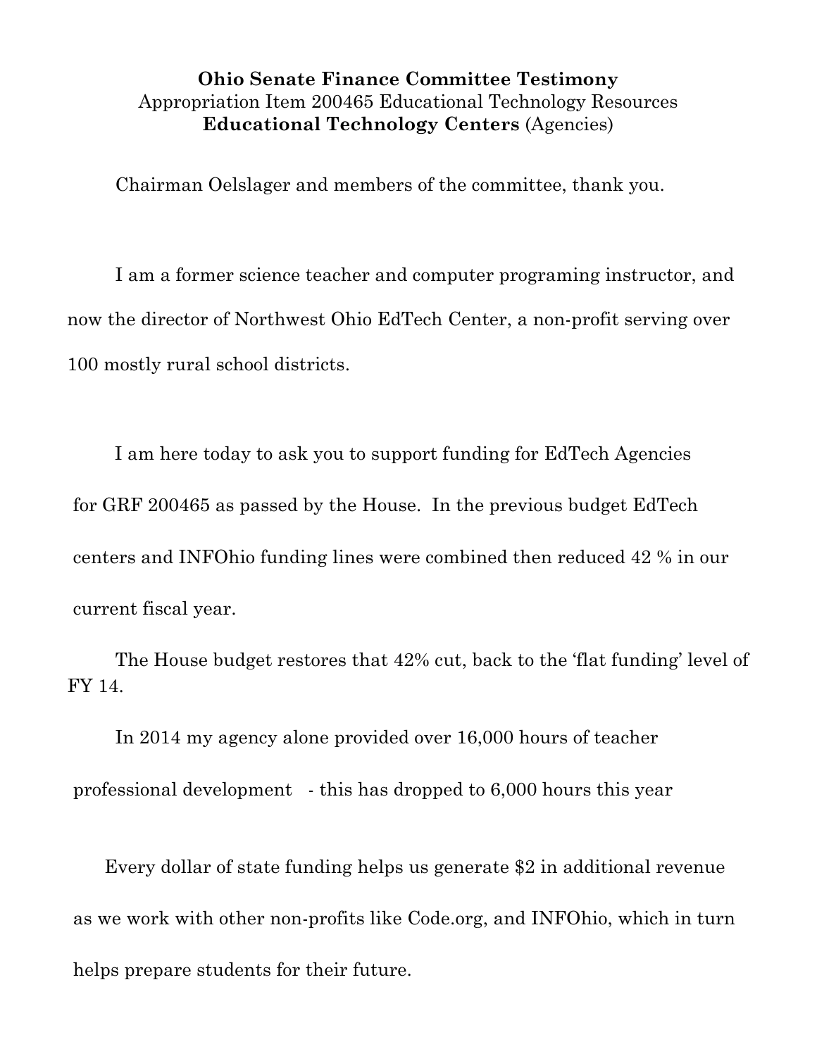### **Ohio Senate Finance Committee Testimony** Appropriation Item 200465 Educational Technology Resources **Educational Technology Centers** (Agencies)

Chairman Oelslager and members of the committee, thank you.

I am a former science teacher and computer programing instructor, and now the director of Northwest Ohio EdTech Center, a non-profit serving over 100 mostly rural school districts.

 I am here today to ask you to support funding for EdTech Agencies for GRF 200465 as passed by the House. In the previous budget EdTech centers and INFOhio funding lines were combined then reduced 42 % in our current fiscal year.

The House budget restores that 42% cut, back to the 'flat funding' level of FY 14.

In 2014 my agency alone provided over 16,000 hours of teacher professional development - this has dropped to 6,000 hours this year

 Every dollar of state funding helps us generate \$2 in additional revenue as we work with other non-profits like Code.org, and INFOhio, which in turn helps prepare students for their future.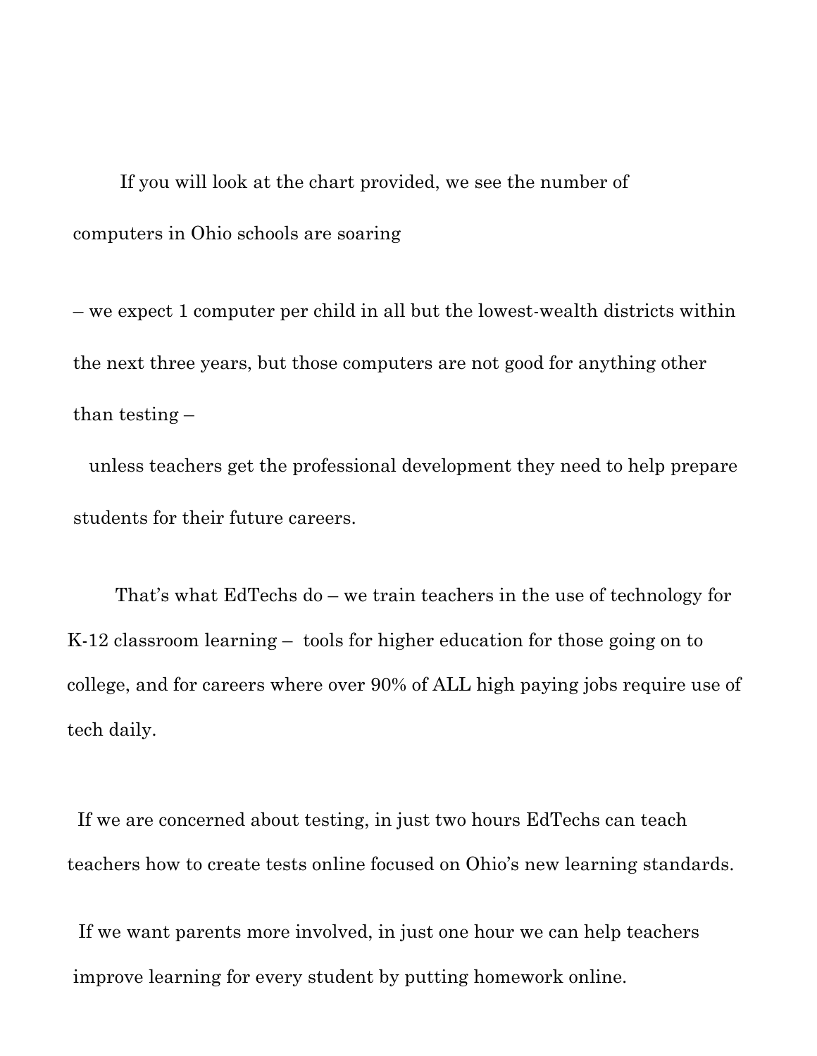If you will look at the chart provided, we see the number of computers in Ohio schools are soaring

– we expect 1 computer per child in all but the lowest-wealth districts within the next three years, but those computers are not good for anything other than testing –

 unless teachers get the professional development they need to help prepare students for their future careers.

That's what EdTechs do – we train teachers in the use of technology for K-12 classroom learning – tools for higher education for those going on to college, and for careers where over 90% of ALL high paying jobs require use of tech daily.

If we are concerned about testing, in just two hours EdTechs can teach teachers how to create tests online focused on Ohio's new learning standards.

If we want parents more involved, in just one hour we can help teachers improve learning for every student by putting homework online.